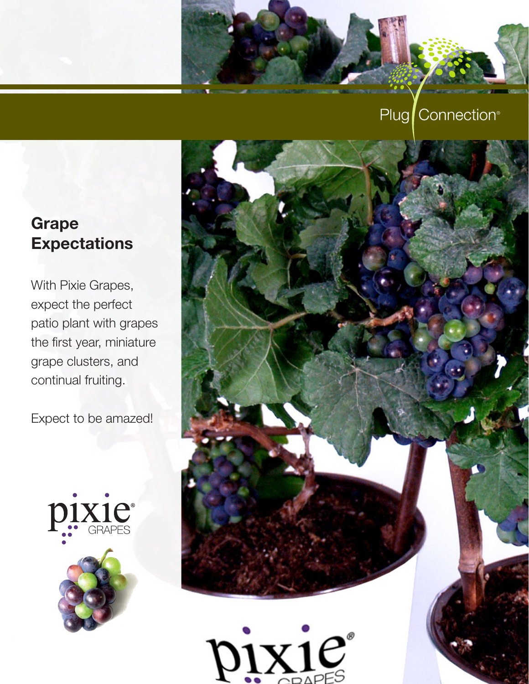## Plug Connection<sup>®</sup>

# Grape **Expectations**

With Pixie Grapes, expect the perfect patio plant with grapes the first year, miniature grape clusters, and continual fruiting.

Expect to be amazed!